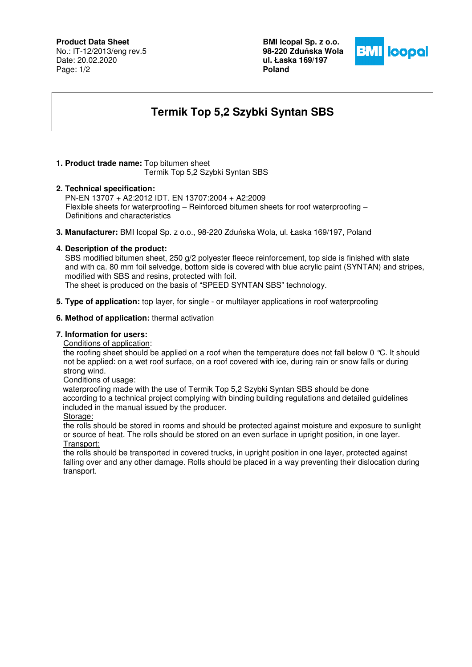## **Product Data Sheet**

No.: IT-12/2013/eng rev.5 Date: 20.02.2020 Page: 1/2

**BMI Icopal Sp. z o.o. 98-220 Zdu**ń**ska Wola ul. Łaska 169/197 Poland** 



# **Termik Top 5,2 Szybki Syntan SBS**

## **1. Product trade name:** Top bitumen sheet

Termik Top 5,2 Szybki Syntan SBS

#### **2. Technical specification:**

PN-EN 13707 + A2:2012 IDT. EN 13707:2004 + A2:2009 Flexible sheets for waterproofing – Reinforced bitumen sheets for roof waterproofing – Definitions and characteristics

**3. Manufacturer:** BMI Icopal Sp. z o.o., 98-220 Zduńska Wola, ul. Łaska 169/197, Poland

#### **4. Description of the product:**

 SBS modified bitumen sheet, 250 g/2 polyester fleece reinforcement, top side is finished with slate and with ca. 80 mm foil selvedge, bottom side is covered with blue acrylic paint (SYNTAN) and stripes, modified with SBS and resins, protected with foil.

The sheet is produced on the basis of "SPEED SYNTAN SBS" technology.

**5. Type of application:** top layer, for single - or multilayer applications in roof waterproofing

#### **6. Method of application:** thermal activation

### **7. Information for users:**

Conditions of application:

the roofing sheet should be applied on a roof when the temperature does not fall below 0 °C. It should not be applied: on a wet roof surface, on a roof covered with ice, during rain or snow falls or during strong wind.

#### Conditions of usage:

 waterproofing made with the use of Termik Top 5,2 Szybki Syntan SBS should be done according to a technical project complying with binding building regulations and detailed guidelines included in the manual issued by the producer.

Storage:

the rolls should be stored in rooms and should be protected against moisture and exposure to sunlight or source of heat. The rolls should be stored on an even surface in upright position, in one layer. Transport:

the rolls should be transported in covered trucks, in upright position in one layer, protected against falling over and any other damage. Rolls should be placed in a way preventing their dislocation during transport.